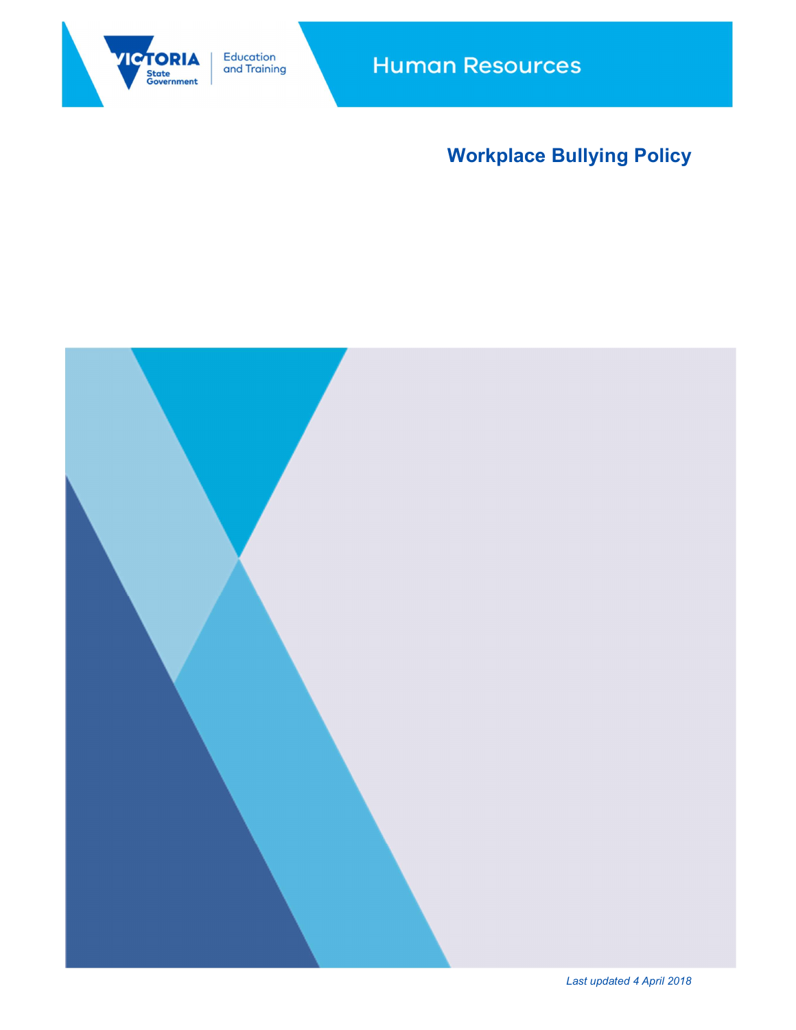

**Human Resources** 

# Workplace Bullying Policy



Last updated 4 April 2018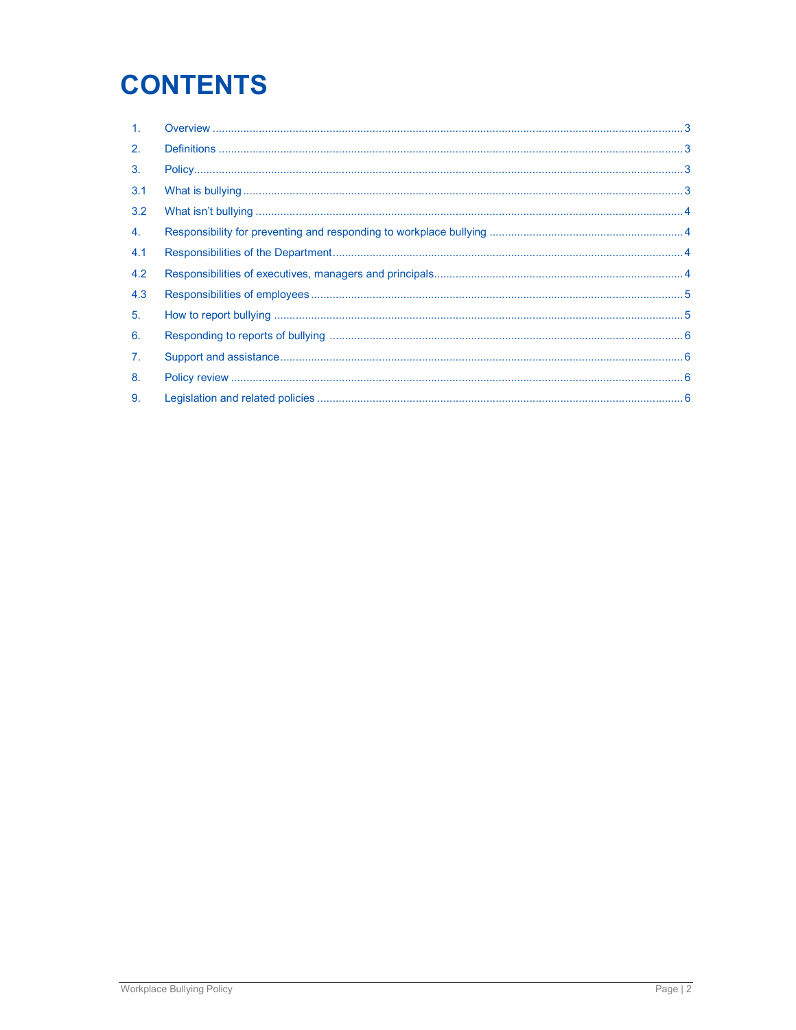# **CONTENTS**

| $\mathbf{1}$ . |  |
|----------------|--|
| 2.             |  |
| 3.             |  |
| 3.1            |  |
| 3.2            |  |
| 4.             |  |
| 4.1            |  |
| 4.2            |  |
| 4.3            |  |
| 5.             |  |
| 6.             |  |
| $\mathbf{7}$ . |  |
| 8.             |  |
| 9.             |  |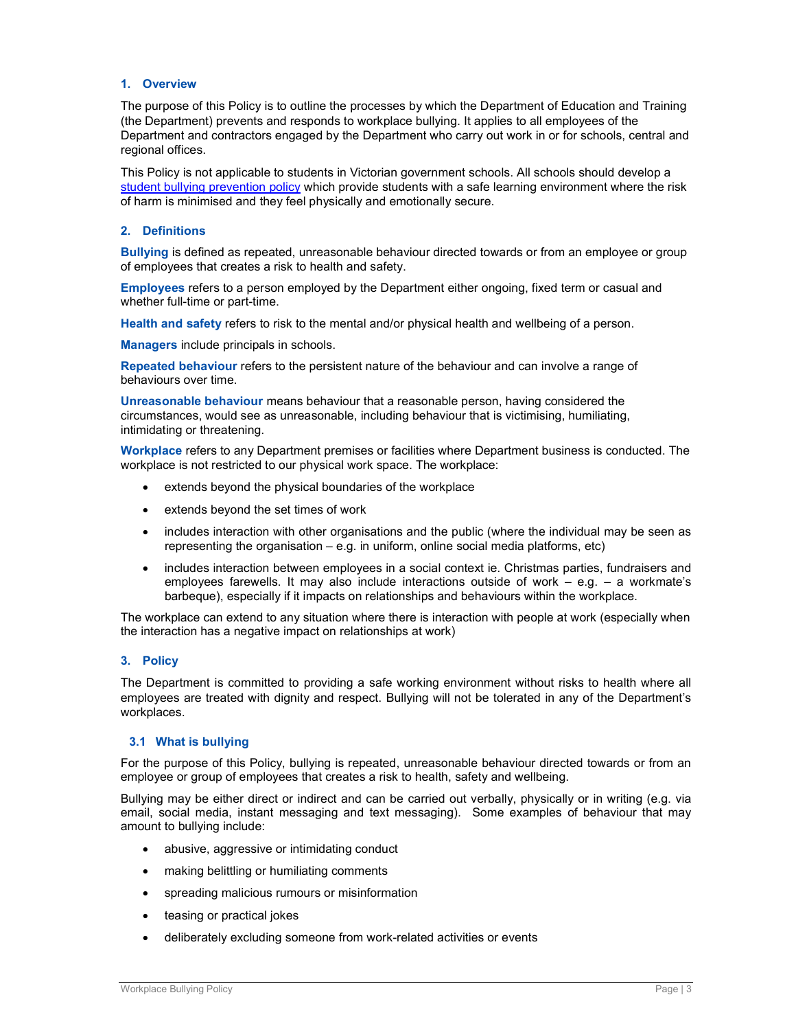#### 1. Overview

The purpose of this Policy is to outline the processes by which the Department of Education and Training (the Department) prevents and responds to workplace bullying. It applies to all employees of the Department and contractors engaged by the Department who carry out work in or for schools, central and regional offices.

This Policy is not applicable to students in Victorian government schools. All schools should develop a student bullying prevention policy which provide students with a safe learning environment where the risk of harm is minimised and they feel physically and emotionally secure.

#### 2. Definitions

Bullying is defined as repeated, unreasonable behaviour directed towards or from an employee or group of employees that creates a risk to health and safety.

Employees refers to a person employed by the Department either ongoing, fixed term or casual and whether full-time or part-time.

Health and safety refers to risk to the mental and/or physical health and wellbeing of a person.

Managers include principals in schools.

Repeated behaviour refers to the persistent nature of the behaviour and can involve a range of behaviours over time.

Unreasonable behaviour means behaviour that a reasonable person, having considered the circumstances, would see as unreasonable, including behaviour that is victimising, humiliating, intimidating or threatening.

Workplace refers to any Department premises or facilities where Department business is conducted. The workplace is not restricted to our physical work space. The workplace:

- extends beyond the physical boundaries of the workplace
- extends beyond the set times of work
- includes interaction with other organisations and the public (where the individual may be seen as representing the organisation – e.g. in uniform, online social media platforms, etc)
- includes interaction between employees in a social context ie. Christmas parties, fundraisers and employees farewells. It may also include interactions outside of work  $-$  e.g.  $-$  a workmate's barbeque), especially if it impacts on relationships and behaviours within the workplace.

The workplace can extend to any situation where there is interaction with people at work (especially when the interaction has a negative impact on relationships at work)

# 3. Policy

The Department is committed to providing a safe working environment without risks to health where all employees are treated with dignity and respect. Bullying will not be tolerated in any of the Department's workplaces.

#### 3.1 What is bullying

For the purpose of this Policy, bullying is repeated, unreasonable behaviour directed towards or from an employee or group of employees that creates a risk to health, safety and wellbeing.

Bullying may be either direct or indirect and can be carried out verbally, physically or in writing (e.g. via email, social media, instant messaging and text messaging). Some examples of behaviour that may amount to bullying include:

- abusive, aggressive or intimidating conduct
- making belittling or humiliating comments
- spreading malicious rumours or misinformation
- teasing or practical jokes
- deliberately excluding someone from work-related activities or events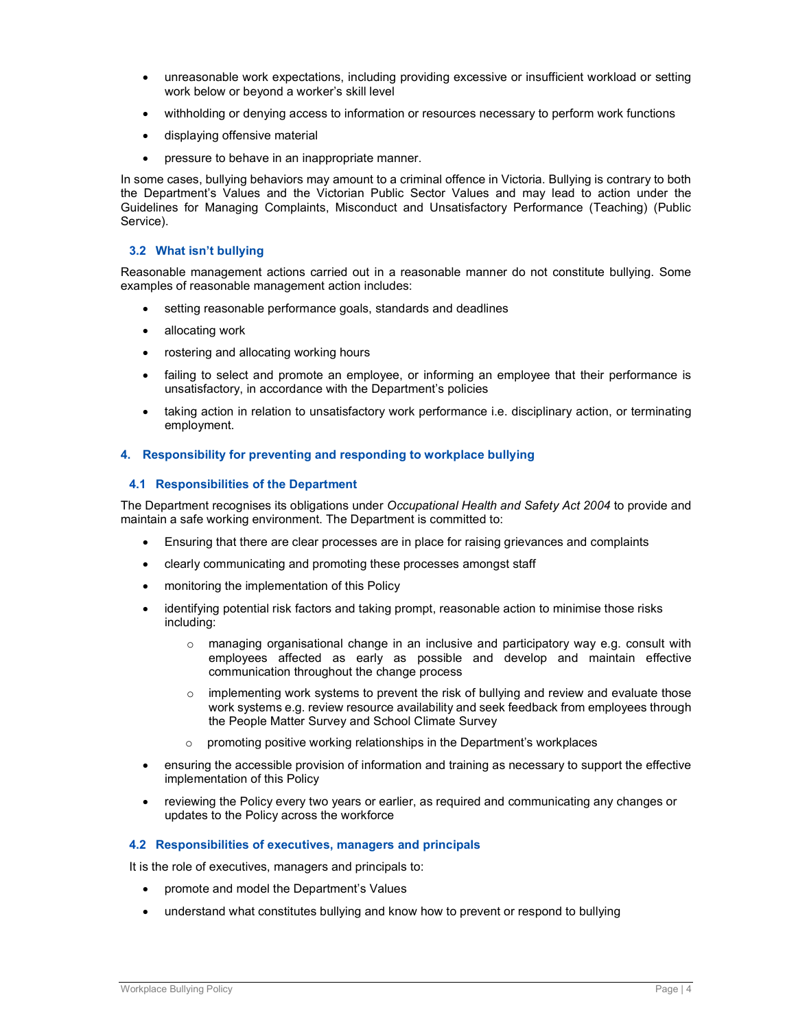- unreasonable work expectations, including providing excessive or insufficient workload or setting work below or beyond a worker's skill level
- withholding or denying access to information or resources necessary to perform work functions
- displaying offensive material
- pressure to behave in an inappropriate manner.

In some cases, bullying behaviors may amount to a criminal offence in Victoria. Bullying is contrary to both the Department's Values and the Victorian Public Sector Values and may lead to action under the Guidelines for Managing Complaints, Misconduct and Unsatisfactory Performance (Teaching) (Public Service).

### 3.2 What isn't bullying

Reasonable management actions carried out in a reasonable manner do not constitute bullying. Some examples of reasonable management action includes:

- setting reasonable performance goals, standards and deadlines
- allocating work
- rostering and allocating working hours
- failing to select and promote an employee, or informing an employee that their performance is unsatisfactory, in accordance with the Department's policies
- taking action in relation to unsatisfactory work performance i.e. disciplinary action, or terminating employment.

#### 4. Responsibility for preventing and responding to workplace bullying

#### 4.1 Responsibilities of the Department

The Department recognises its obligations under Occupational Health and Safety Act 2004 to provide and maintain a safe working environment. The Department is committed to:

- Ensuring that there are clear processes are in place for raising grievances and complaints
- clearly communicating and promoting these processes amongst staff
- monitoring the implementation of this Policy
- identifying potential risk factors and taking prompt, reasonable action to minimise those risks including:
	- $\circ$  managing organisational change in an inclusive and participatory way e.g. consult with employees affected as early as possible and develop and maintain effective communication throughout the change process
	- $\circ$  implementing work systems to prevent the risk of bullying and review and evaluate those work systems e.g. review resource availability and seek feedback from employees through the People Matter Survey and School Climate Survey
	- o promoting positive working relationships in the Department's workplaces
- ensuring the accessible provision of information and training as necessary to support the effective implementation of this Policy
- reviewing the Policy every two years or earlier, as required and communicating any changes or updates to the Policy across the workforce

#### 4.2 Responsibilities of executives, managers and principals

It is the role of executives, managers and principals to:

- promote and model the Department's Values
- understand what constitutes bullying and know how to prevent or respond to bullying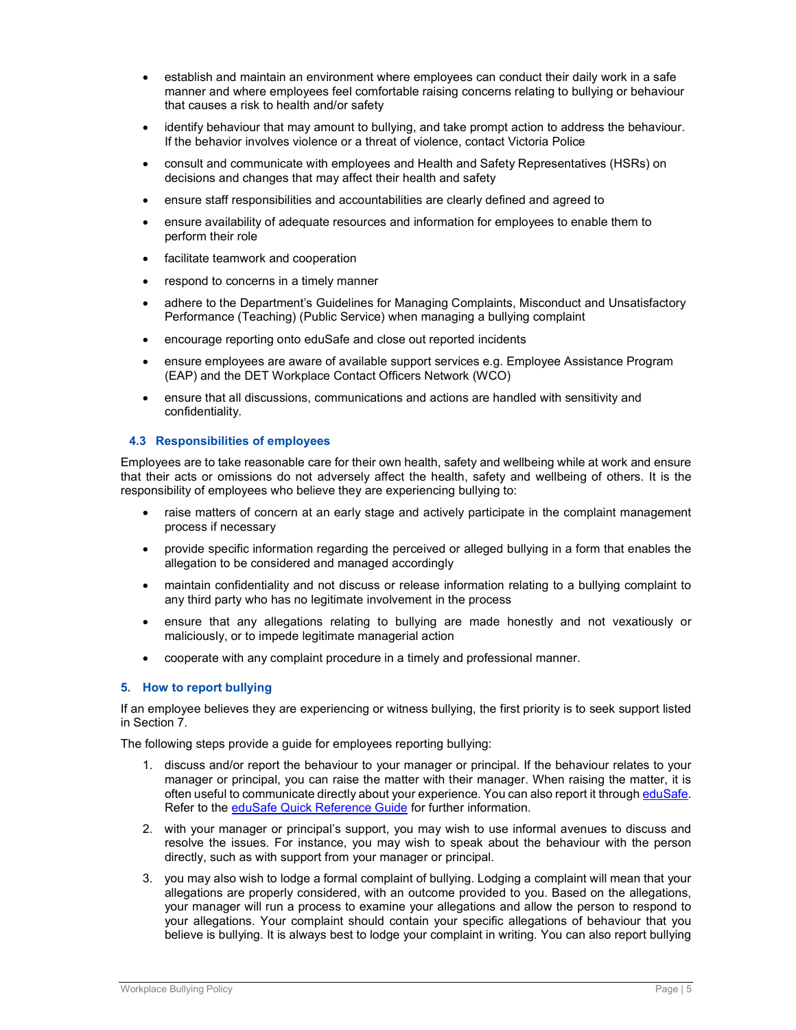- establish and maintain an environment where employees can conduct their daily work in a safe manner and where employees feel comfortable raising concerns relating to bullying or behaviour that causes a risk to health and/or safety
- identify behaviour that may amount to bullying, and take prompt action to address the behaviour. If the behavior involves violence or a threat of violence, contact Victoria Police
- consult and communicate with employees and Health and Safety Representatives (HSRs) on decisions and changes that may affect their health and safety
- ensure staff responsibilities and accountabilities are clearly defined and agreed to
- ensure availability of adequate resources and information for employees to enable them to perform their role
- **•** facilitate teamwork and cooperation
- respond to concerns in a timely manner
- adhere to the Department's Guidelines for Managing Complaints, Misconduct and Unsatisfactory Performance (Teaching) (Public Service) when managing a bullying complaint
- encourage reporting onto eduSafe and close out reported incidents
- ensure employees are aware of available support services e.g. Employee Assistance Program (EAP) and the DET Workplace Contact Officers Network (WCO)
- ensure that all discussions, communications and actions are handled with sensitivity and confidentiality.

#### 4.3 Responsibilities of employees

Employees are to take reasonable care for their own health, safety and wellbeing while at work and ensure that their acts or omissions do not adversely affect the health, safety and wellbeing of others. It is the responsibility of employees who believe they are experiencing bullying to:

- raise matters of concern at an early stage and actively participate in the complaint management process if necessary
- provide specific information regarding the perceived or alleged bullying in a form that enables the allegation to be considered and managed accordingly
- maintain confidentiality and not discuss or release information relating to a bullying complaint to any third party who has no legitimate involvement in the process
- ensure that any allegations relating to bullying are made honestly and not vexatiously or maliciously, or to impede legitimate managerial action
- cooperate with any complaint procedure in a timely and professional manner.

# 5. How to report bullying

If an employee believes they are experiencing or witness bullying, the first priority is to seek support listed in Section 7.

The following steps provide a guide for employees reporting bullying:

- 1. discuss and/or report the behaviour to your manager or principal. If the behaviour relates to your manager or principal, you can raise the matter with their manager. When raising the matter, it is often useful to communicate directly about your experience. You can also report it through eduSafe. Refer to the eduSafe Quick Reference Guide for further information.
- 2. with your manager or principal's support, you may wish to use informal avenues to discuss and resolve the issues. For instance, you may wish to speak about the behaviour with the person directly, such as with support from your manager or principal.
- 3. you may also wish to lodge a formal complaint of bullying. Lodging a complaint will mean that your allegations are properly considered, with an outcome provided to you. Based on the allegations, your manager will run a process to examine your allegations and allow the person to respond to your allegations. Your complaint should contain your specific allegations of behaviour that you believe is bullying. It is always best to lodge your complaint in writing. You can also report bullying